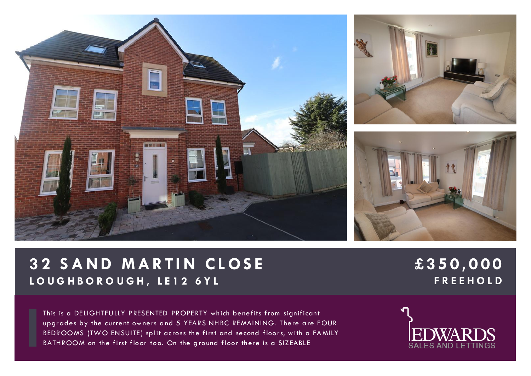





# **32 SAND MARTIN CLOSE L O U G H B O R O U G H , L E 1 2 6 Y L**

**£ 3 5 0 , 0 0 0 F R E E H O L D**

This is a DELIGH TFU LLY PRESENTED PROPERTY which benefits from significant upgrades by the current owners and 5 YEARS NHBC REMAINING. There are FOUR BEDROOMS (TWO ENSUITE) split across the first and second floors, with a FAMILY BATHROOM on the first floor too. On the ground floor there is a SIZEABLE

 $\overline{\mathcal{O}}$  is the youth a SINGLE GARA GET was well as  $\overline{\mathcal{O}}$  in  $\overline{\mathcal{O}}$  in  $\overline{\mathcal{O}}$  is well as  $\overline{\mathcal{O}}$  in  $\overline{\mathcal{O}}$  is well as  $\overline{\mathcal{O}}$  in  $\overline{\mathcal{O}}$  is well as  $\overline{\mathcal{O}}$  is well as  $\overline{\mathcal{O}}$  is

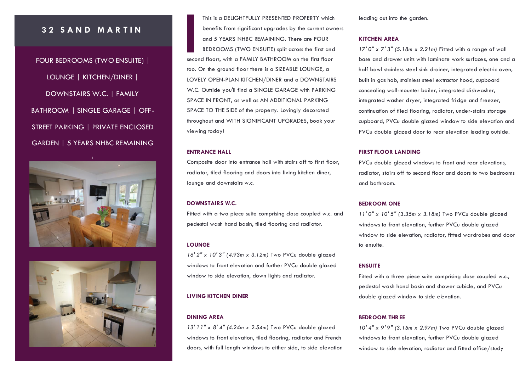### **3 2 S A N D M A R T I N**

FOUR BEDROOMS (TWO ENSUITE) | LOUNGE | KITCHEN/DINER | DOWNSTAIRS W.C. | FAMILY BATHROOM | SINGLE GARAGE | OFF-STREET PARKING | PRIVATE ENCLOSED GARDEN | 5 YEARS NHBC REMAINING





This is a DELIGHTFULLY PRESENTED PROPERTY which benefits from significant upgrades by the current owners and 5 YEARS NHBC REMAINING. There are FOUR BEDROOMS (TWO ENSUITE) split across the first and second floors, with a FAMILY BATHROOM on the first floor too. On the ground floor there is a SIZEABLE LOUNGE, a LOVELY OPEN-PLAN KITCHEN/DINER and a DOWNSTAIRS W.C. Outside you'll find a SINGLE GARAGE with PARKING SPACE IN FRONT, as well as AN ADDITIONAL PARKING SPACE TO THE SIDE of the property. Lovingly decorated throughout and WITH SIGNIFICANT UPGRADES, book your viewing today!

#### **ENTRANCE HALL**

Composite door into entrance hall with stairs off to first floor, radiator, tiled flooring and doors into living kitchen diner, lounge and downstairs w.c.

#### **DOWNSTAIRS W.C.**

Fitted with a two piece suite comprising close coupled w.c. and pedestal wash hand basin, tiled flooring and radiator.

#### **LOUNGE**

*16' 2" x 10' 3" (4.93m x 3.12m)* Two PVCu double glazed windows to front elevation and further PVCu double glazed window to side elevation, down lights and radiator.

#### **LIVING KITCHEN DINER**

#### **DINING AREA**

*13' 11" x 8' 4" (4.24m x 2.54m)* Two PVCu double glazed windows to front elevation, tiled flooring, radiator and French doors, with full length windows to either side, to side elevation leading out into the garden.

#### **KITCHEN AREA**

*17' 0" x 7' 3" (5.18m x 2.21m)* Fitted with a range of wall base and drawer units with laminate work surfaces, one and a half bowl stainless steel sink drainer, integrated electric oven, built in gas hob, stainless steel extractor hood, cupboard concealing wall-mounter boiler, integrated dishwasher, integrated washer dryer, integrated fridge and freezer, continuation of tiled flooring, radiator, under-stairs storage cupboard, PVCu double glazed window to side elevation and PVCu double glazed door to rear elevation leading outside.

#### **FIRST FLOOR LANDING**

PVCu double glazed windows to front and rear elevations, radiator, stairs off to second floor and doors to two bedrooms and bathroom.

#### **BEDROOM ONE**

*11' 0" x 10' 5" (3.35m x 3.18m)* Two PVCu double glazed windows to front elevation, further PVCu double glazed window to side elevation, radiator, fitted wardrobes and door to ensuite.

#### **ENSUITE**

Fitted with a three piece suite comprising close coupled w.c., pedestal wash hand basin and shower cubicle, and PVCu double glazed window to side elevation.

#### **BEDROOM THREE**

*10' 4" x 9' 9" (3.15m x 2.97m)* Two PVCu double glazed windows to front elevation, further PVCu double glazed window to side elevation, radiator and fitted office/study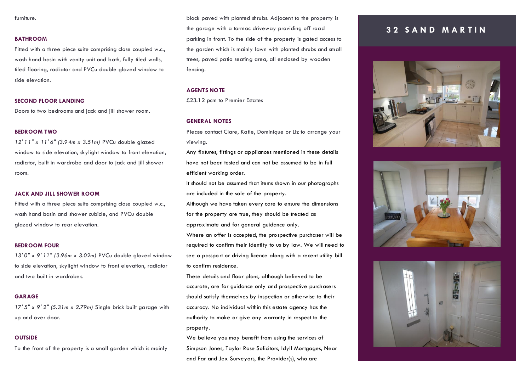#### **BATHROOM**

Fitted with a three piece suite comprising close coupled w.c., wash hand basin with vanity unit and bath, fully tiled walls, tiled flooring, radiator and PVCu double glazed window to side elevation.

#### **SECOND FLOOR LANDING**

Doors to two bedrooms and jack and jill shower room.

#### **BEDROOM TWO**

*12' 11" x 11' 6" (3.94m x 3.51m)* PVCu double glazed window to side elevation, skylight window to front elevation, radiator, built in wardrobe and door to jack and jill shower room.

#### **JACK AND JILL SHOWER ROOM**

Fitted with a three piece suite comprising close coupled w.c., wash hand basin and shower cubicle, and PVCu double glazed window to rear elevation.

#### **BEDROOM FOUR**

*13' 0" x 9' 11" (3.96m x 3.02m)* PVCu double glazed window to side elevation, skylight window to front elevation, radiator and two built in wardrobes.

#### **GARAGE**

*17' 5" x 9' 2" (5.31m x 2.79m)* Single brick built garage with up and over door.

#### **OUTSIDE**

To the front of the property is a small garden which is mainly

block paved with planted shrubs. Adjacent to the property is the garage with a tarmac driveway providing off road parking in front. To the side of the property is gated access to the garden which is mainly lawn with planted shrubs and small trees, paved patio seating area, all enclosed by wooden fencing.

#### **AGENTS NOTE**

£23.12 pcm to Premier Estates

#### **GENERAL NOTES**

Please contact Clare, Katie, Dominique or Liz to arrange your viewing.

Any fixtures, fittings or appliances mentioned in these details have not been tested and can not be assumed to be in full efficient working order.

It should not be assumed that items shown in our photographs are included in the sale of the property.

Although we have taken every care to ensure the dimensions for the property are true, they should be treated as approximate and for general guidance only.

Where an offer is accepted, the prospective purchaser will be required to confirm their identity to us by law. We will need to see a passport or driving licence along with a recent utility bill to confirm residence.

These details and floor plans, although believed to be accurate, are for guidance only and prospective purchasers should satisfy themselves by inspection or otherwise to their accuracy. No individual within this estate agency has the authority to make or give any warranty in respect to the property.

We believe you may benefit from using the services of Simpson Jones, Taylor Rose Solicitors, Idyll Mortgages, Near and Far and Jex Surveyors, the Provider(s), who are

### **3 2 S A N D M A R T I N**





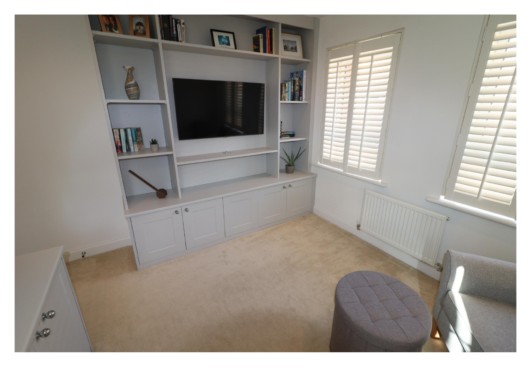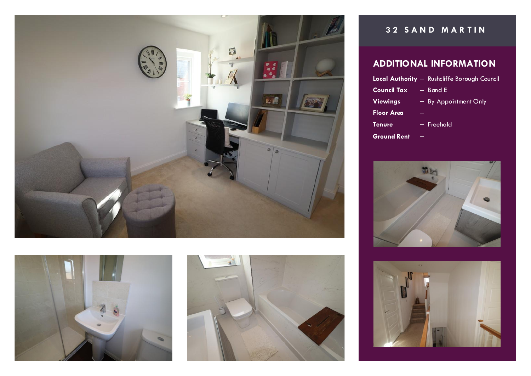





## **3 2 S A N D M A R T I N**

## **ADDITIONAL INFORMATION**

|                    | Local Authority - Rushcliffe Borough Council |
|--------------------|----------------------------------------------|
| Council Tax        | - Band E                                     |
| <b>Viewings</b>    | - By Appointment Only                        |
| Floor Area         |                                              |
| Tenure             | - Freehold                                   |
| <b>Ground Rent</b> |                                              |